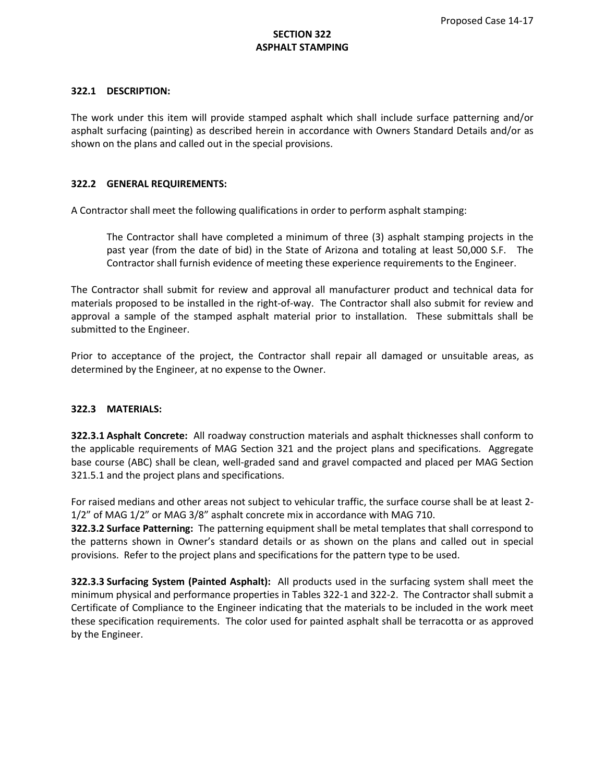# **SECTION 322 ASPHALT STAMPING**

### **322.1 DESCRIPTION:**

The work under this item will provide stamped asphalt which shall include surface patterning and/or asphalt surfacing (painting) as described herein in accordance with Owners Standard Details and/or as shown on the plans and called out in the special provisions.

#### **322.2 GENERAL REQUIREMENTS:**

A Contractor shall meet the following qualifications in order to perform asphalt stamping:

The Contractor shall have completed a minimum of three (3) asphalt stamping projects in the past year (from the date of bid) in the State of Arizona and totaling at least 50,000 S.F. The Contractor shall furnish evidence of meeting these experience requirements to the Engineer.

The Contractor shall submit for review and approval all manufacturer product and technical data for materials proposed to be installed in the right-of-way. The Contractor shall also submit for review and approval a sample of the stamped asphalt material prior to installation. These submittals shall be submitted to the Engineer.

Prior to acceptance of the project, the Contractor shall repair all damaged or unsuitable areas, as determined by the Engineer, at no expense to the Owner.

### **322.3 MATERIALS:**

**322.3.1 Asphalt Concrete:** All roadway construction materials and asphalt thicknesses shall conform to the applicable requirements of MAG Section 321 and the project plans and specifications. Aggregate base course (ABC) shall be clean, well-graded sand and gravel compacted and placed per MAG Section 321.5.1 and the project plans and specifications.

For raised medians and other areas not subject to vehicular traffic, the surface course shall be at least 2- 1/2" of MAG 1/2" or MAG 3/8" asphalt concrete mix in accordance with MAG 710.

**322.3.2 Surface Patterning:** The patterning equipment shall be metal templates that shall correspond to the patterns shown in Owner's standard details or as shown on the plans and called out in special provisions. Refer to the project plans and specifications for the pattern type to be used.

**322.3.3 Surfacing System (Painted Asphalt):** All products used in the surfacing system shall meet the minimum physical and performance properties in Tables 322-1 and 322-2. The Contractor shall submit a Certificate of Compliance to the Engineer indicating that the materials to be included in the work meet these specification requirements. The color used for painted asphalt shall be terracotta or as approved by the Engineer.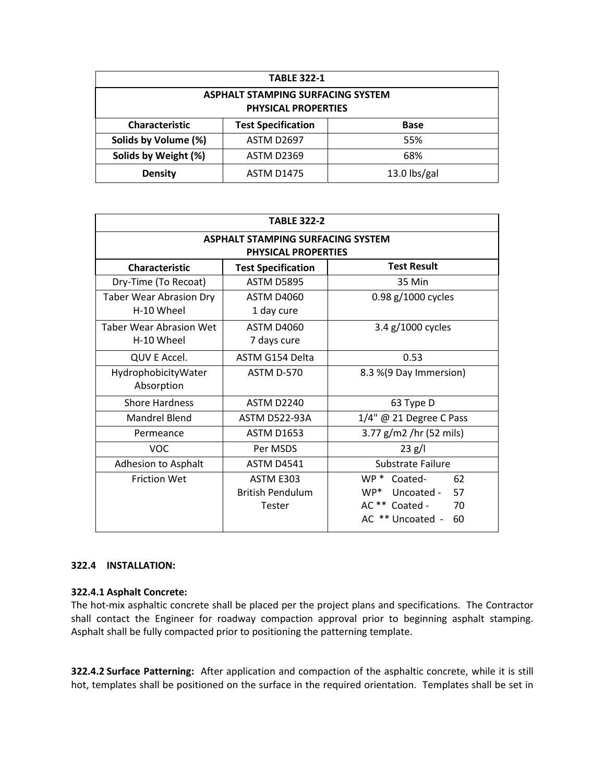| <b>TABLE 322-1</b>                                                     |                           |                |  |
|------------------------------------------------------------------------|---------------------------|----------------|--|
| <b>ASPHALT STAMPING SURFACING SYSTEM</b><br><b>PHYSICAL PROPERTIES</b> |                           |                |  |
| <b>Characteristic</b>                                                  | <b>Test Specification</b> | <b>Base</b>    |  |
| Solids by Volume (%)                                                   | <b>ASTM D2697</b>         | 55%            |  |
| Solids by Weight (%)                                                   | ASTM D2369                | 68%            |  |
| <b>Density</b>                                                         | <b>ASTM D1475</b>         | $13.0$ lbs/gal |  |

| <b>TABLE 322-2</b>                                                     |                                                |                                                                                                    |  |
|------------------------------------------------------------------------|------------------------------------------------|----------------------------------------------------------------------------------------------------|--|
| <b>ASPHALT STAMPING SURFACING SYSTEM</b><br><b>PHYSICAL PROPERTIES</b> |                                                |                                                                                                    |  |
| <b>Characteristic</b>                                                  | <b>Test Specification</b>                      | <b>Test Result</b>                                                                                 |  |
| Dry-Time (To Recoat)                                                   | <b>ASTM D5895</b>                              | 35 Min                                                                                             |  |
| <b>Taber Wear Abrasion Dry</b><br>H-10 Wheel                           | <b>ASTM D4060</b><br>1 day cure                | 0.98 g/1000 cycles                                                                                 |  |
| Taber Wear Abrasion Wet<br>H-10 Wheel                                  | <b>ASTM D4060</b><br>7 days cure               | 3.4 g/1000 cycles                                                                                  |  |
| QUV E Accel.                                                           | ASTM G154 Delta                                | 0.53                                                                                               |  |
| HydrophobicityWater<br>Absorption                                      | ASTM D-570                                     | 8.3 %(9 Day Immersion)                                                                             |  |
| <b>Shore Hardness</b>                                                  | <b>ASTM D2240</b>                              | 63 Type D                                                                                          |  |
| Mandrel Blend                                                          | <b>ASTM D522-93A</b>                           | 1/4" @ 21 Degree C Pass                                                                            |  |
| Permeance                                                              | <b>ASTM D1653</b>                              | 3.77 g/m2 /hr (52 mils)                                                                            |  |
| <b>VOC</b>                                                             | Per MSDS                                       | 23 g/l                                                                                             |  |
| Adhesion to Asphalt                                                    | <b>ASTM D4541</b>                              | Substrate Failure                                                                                  |  |
| <b>Friction Wet</b>                                                    | ASTM E303<br><b>British Pendulum</b><br>Tester | 62<br>$WP*$ Coated-<br>$WP*$<br>Uncoated -<br>57<br>AC ** Coated -<br>70<br>AC ** Uncoated -<br>60 |  |

## **322.4 INSTALLATION:**

### **322.4.1 Asphalt Concrete:**

The hot-mix asphaltic concrete shall be placed per the project plans and specifications. The Contractor shall contact the Engineer for roadway compaction approval prior to beginning asphalt stamping. Asphalt shall be fully compacted prior to positioning the patterning template.

**322.4.2 Surface Patterning:** After application and compaction of the asphaltic concrete, while it is still hot, templates shall be positioned on the surface in the required orientation. Templates shall be set in